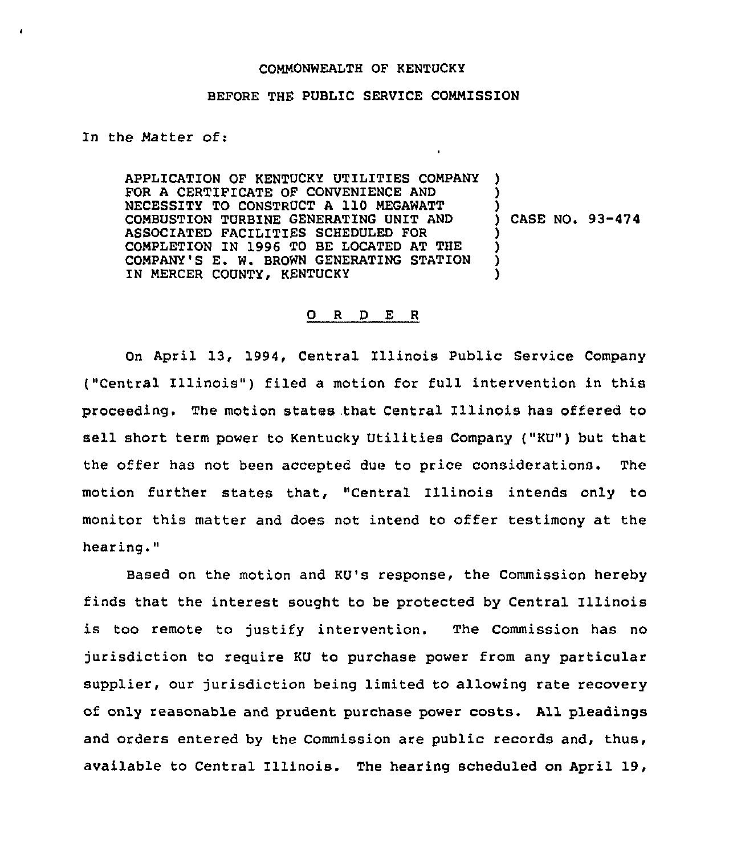## COMNONWEALTH OF KENTUCKY

## BEFORE THE PUBLIC SERVICE COMMISSION

In the Natter of:

APPLICATION OF KENTUCKY UTILITIES COMPANY FOR A CERTIFICATE OF CONVENIENCE AND NECESSITY TO CONSTRUCT <sup>A</sup> 110 MEGAWATT CONBUSTION TURBINE GENERATING UNIT AND ASSOCIATED FACILITIES SCHEDULED FOR COMPLETION IN 1996 TO BE LOCATED AT THE COMPANY'S E. W. BROWN GENERATING STATION IN MERCER COUNTY, KENTUCKY ) ) ) ) CASE NO. 93-474 ) ) ) )

## 0 <sup>R</sup> <sup>D</sup> E <sup>R</sup>

On April 13, 1994, Central Illinois Public Service Company ("Central Illinois") filed a motion for full intervention in this proceeding. The motion states .that Central Illinois has offered to sell short term power to Kentucky Utilities Company ("KU") but that the offer has not been accepted due to price considerations. The motion further states that, "Central Illinois intends only to monitor this matter and does not intend to offer testimony at the hearing."

Based on the motion and KU's response, the Commission hereby finds that the interest sought to be protected by Central Illinois is too remote to justify intervention. The Commission has no jurisdiction to reguire KU to purchase power from any particular supplier, our jurisdiction being limited to allowing rate recovery of only reasonable and prudent purchase power costs. All pleadings and orders entered by the Commission are public records and, thus, available to Central Illinois. The hearing scheduled on April 19,